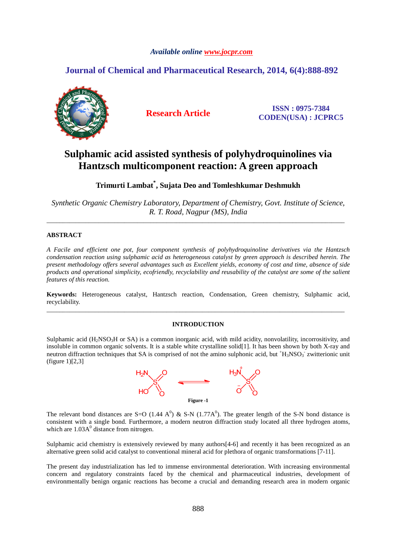# *Available online www.jocpr.com*

# **Journal of Chemical and Pharmaceutical Research, 2014, 6(4):888-892**



**Research Article ISSN : 0975-7384 CODEN(USA) : JCPRC5**

# **Sulphamic acid assisted synthesis of polyhydroquinolines via Hantzsch multicomponent reaction: A green approach**

**Trimurti Lambat\* , Sujata Deo and Tomleshkumar Deshmukh** 

*Synthetic Organic Chemistry Laboratory, Department of Chemistry, Govt. Institute of Science, R. T. Road, Nagpur (MS), India*  \_\_\_\_\_\_\_\_\_\_\_\_\_\_\_\_\_\_\_\_\_\_\_\_\_\_\_\_\_\_\_\_\_\_\_\_\_\_\_\_\_\_\_\_\_\_\_\_\_\_\_\_\_\_\_\_\_\_\_\_\_\_\_\_\_\_\_\_\_\_\_\_\_\_\_\_\_\_\_\_\_\_\_\_\_\_\_\_\_\_\_\_

# **ABSTRACT**

*A Facile and efficient one pot, four component synthesis of polyhydroquinoline derivatives via the Hantzsch condensation reaction using sulphamic acid as heterogeneous catalyst by green approach is described herein. The present methodology offers several advantages such as Excellent yields, economy of cost and time, absence of side products and operational simplicity, ecofriendly, recyclability and reusability of the catalyst are some of the salient features of this reaction.* 

**Keywords:** Heterogeneous catalyst, Hantzsch reaction, Condensation, Green chemistry, Sulphamic acid, recyclability. \_\_\_\_\_\_\_\_\_\_\_\_\_\_\_\_\_\_\_\_\_\_\_\_\_\_\_\_\_\_\_\_\_\_\_\_\_\_\_\_\_\_\_\_\_\_\_\_\_\_\_\_\_\_\_\_\_\_\_\_\_\_\_\_\_\_\_\_\_\_\_\_\_\_\_\_\_\_\_\_\_\_\_\_\_\_\_\_\_\_\_\_

# **INTRODUCTION**

Sulphamic acid (H<sub>2</sub>NSO<sub>3</sub>H or SA) is a common inorganic acid, with mild acidity, nonvolatility, incorrositivity, and insoluble in common organic solvents. It is a stable white crystalline solid[1]. It has been shown by both X-ray and neutron diffraction techniques that SA is comprised of not the amino sulphonic acid, but  $H_3NSO_3$  zwitterionic unit (figure 1)[2,3]



The relevant bond distances are S=O (1.44 A<sup>0</sup>) & S-N (1.77A<sup>0</sup>). The greater length of the S-N bond distance is consistent with a single bond. Furthermore, a modern neutron diffraction study located all three hydrogen atoms, which are  $1.03A<sup>0</sup>$  distance from nitrogen.

Sulphamic acid chemistry is extensively reviewed by many authors<sup>[4-6]</sup> and recently it has been recognized as an alternative green solid acid catalyst to conventional mineral acid for plethora of organic transformations [7-11].

The present day industrialization has led to immense environmental deterioration. With increasing environmental concern and regulatory constraints faced by the chemical and pharmaceutical industries, development of environmentally benign organic reactions has become a crucial and demanding research area in modern organic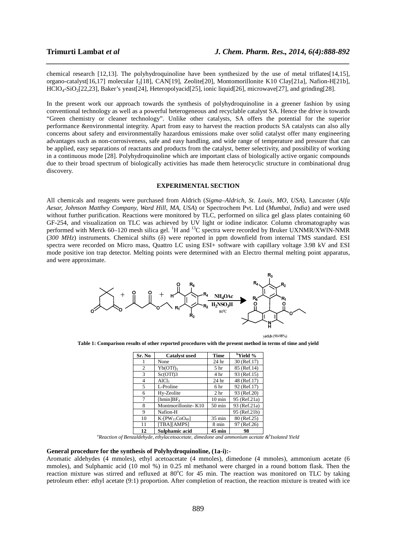chemical research [12,13]. The polyhydroquinoline have been synthesized by the use of metal triflates[14,15], organo-catalyst[16,17] molecular I2[18], CAN[19], Zeolite[20], Montomorillonite K10 Clay[21a], Nafion-H[21b],  $HClO<sub>4</sub>-SiO<sub>2</sub>[22,23],$  Baker's yeast[24], Heteropolyacid[25], ionic liquid[26], microwave[27], and grinding[28].

*\_\_\_\_\_\_\_\_\_\_\_\_\_\_\_\_\_\_\_\_\_\_\_\_\_\_\_\_\_\_\_\_\_\_\_\_\_\_\_\_\_\_\_\_\_\_\_\_\_\_\_\_\_\_\_\_\_\_\_\_\_\_\_\_\_\_\_\_\_\_\_\_\_\_\_\_\_\_*

In the present work our approach towards the synthesis of polyhydroquinoline in a greener fashion by using conventional technology as well as a powerful heterogeneous and recyclable catalyst SA. Hence the drive is towards "Green chemistry or cleaner technology". Unlike other catalysts, SA offers the potential for the superior performance &environmental integrity. Apart from easy to harvest the reaction products SA catalysts can also ally concerns about safety and environmentally hazardous emissions make over solid catalyst offer many engineering advantages such as non-corrosiveness, safe and easy handling, and wide range of temperature and pressure that can be applied, easy separations of reactants and products from the catalyst, better selectivity, and possibility of working in a continuous mode [28]. Polyhydroquinoline which are important class of biologically active organic compounds due to their broad spectrum of biologically activities has made them heterocyclic structure in combinational drug discovery.

# **EXPERIMENTAL SECTION**

All chemicals and reagents were purchased from Aldrich (*Sigma–Aldrich, St. Louis, MO, USA*), Lancaster (*Alfa Aesar, Johnson Matthey Company, Ward Hill, MA, USA*) or Spectrochem Pvt. Ltd (*Mumbai, India*) and were used without further purification. Reactions were monitored by TLC, performed on silica gel glass plates containing 60 GF-254, and visualization on TLC was achieved by UV light or iodine indicator. Column chromatography was performed with Merck 60–120 mesh silica gel. <sup>1</sup>H and <sup>13</sup>C spectra were recorded by Bruker UXNMR/XWIN-NMR (*300 MHz*) instruments. Chemical shifts (δ) were reported in ppm downfield from internal TMS standard. ESI spectra were recorded on Micro mass, Quattro LC using ESI+ software with capillary voltage 3.98 kV and ESI mode positive ion trap detector. Melting points were determined with an Electro thermal melting point apparatus, and were approximate.



vields (90-98%)

**Table 1: Comparison results of other reported procedures with the present method in terms of time and yield** 

| Sr. No | <b>Catalyst used</b>   | Time             | <sup>b</sup> Yield % |  |
|--------|------------------------|------------------|----------------------|--|
|        | None                   | 24 hr            | 30 (Ref.17)          |  |
| 2      | $Yb(OTf)_{3}$          | 5 <sub>hr</sub>  | 85 (Ref.14)          |  |
| 3      | Sc(OTf)3               | 4 hr             | 93 (Ref.15)          |  |
| 4      | AICl <sub>3</sub>      | 24 hr            | 48 (Ref.17)          |  |
| 5      | L-Proline              | 6 hr             | 92 (Ref.17)          |  |
| 6      | Hy-Zeolite             | 2 <sub>hr</sub>  | 93 (Ref.20)          |  |
| 7      | $[hmin]BF_4$           | $10 \text{ min}$ | 95 (Ref.21a)         |  |
| 8      | Montmorillonite-K10    | $50 \text{ min}$ | 93 (Ref.21a)         |  |
| 9      | Nafion-H               |                  | 95 (Ref.21b)         |  |
| 10     | $K_7[PW_{11}CoO_{40}]$ | $35 \text{ min}$ | 80 (Ref.25)          |  |
| 11     | [TBA][AMPS]            | 8 min            | 97 (Ref.26)          |  |
| 12     | Sulphamic acid         | $45 \text{ min}$ | 98                   |  |

*<sup>a</sup>Reaction of Benzaldehyde, ethylacetoacetate, dimedone and ammonium acetate &<sup>b</sup> Isolated Yield* 

#### **General procedure for the synthesis of Polyhydroquinoline, (1a-i):-**

Aromatic aldehydes (4 mmoles), ethyl acetoacetate (4 mmoles), dimedone (4 mmoles), ammonium acetate (6 mmoles), and Sulphamic acid (10 mol %) in 0.25 ml methanol were charged in a round bottom flask. Then the reaction mixture was stirred and refluxed at 80°C for 45 min. The reaction was monitored on TLC by taking petroleum ether: ethyl acetate (9:1) proportion. After completion of reaction, the reaction mixture is treated with ice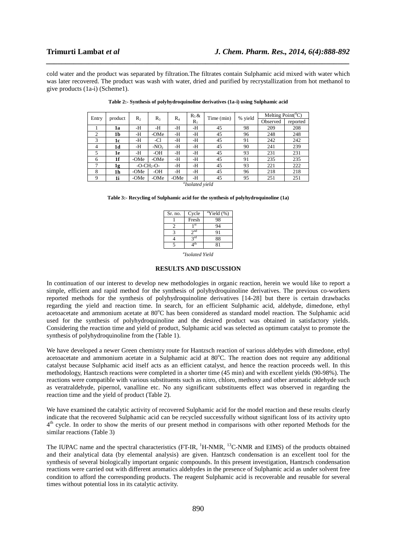cold water and the product was separated by filtration.The filtrates contain Sulphamic acid mixed with water which was later recovered. The product was wash with water, dried and purified by recrystallization from hot methanol to give products (1a-i) (Scheme1).

*\_\_\_\_\_\_\_\_\_\_\_\_\_\_\_\_\_\_\_\_\_\_\_\_\_\_\_\_\_\_\_\_\_\_\_\_\_\_\_\_\_\_\_\_\_\_\_\_\_\_\_\_\_\_\_\_\_\_\_\_\_\_\_\_\_\_\_\_\_\_\_\_\_\_\_\_\_\_*

| Entry                       | product | $R_{2}$ | $R_{3}$     | $R_4$ | $R_5 &$ | Time (min) | % yield | Melting $Point({}^0C)$ |          |
|-----------------------------|---------|---------|-------------|-------|---------|------------|---------|------------------------|----------|
|                             |         |         |             |       | $R_1$   |            |         | Observed               | reported |
|                             | 1a      | -H      | -H          | -H    | -Н      | 45         | 98      | 209                    | 208      |
| 2                           | 1b      | -H      | -OMe        | -H    | -Н      | 45         | 96      | 248                    | 248      |
| 3                           | 1c      | -H      | -Cl         | -H    | -Н      | 45         | 91      | 242                    | 242      |
| 4                           | 1d      | -H      | $-NO2$      | -H    | -Н      | 45         | 90      | 241                    | 239      |
| 5                           | 1e      | -H      | -OH         | -H    | -Н      | 45         | 93      | 231                    | 231      |
| 6                           | 1f      | -OMe    | -OMe        | -H    | -Н      | 45         | 91      | 235                    | 235      |
| 7                           | 1g      |         | $-O-CH2-O-$ | -Н    | -Н      | 45         | 93      | 221                    | 222      |
| 8                           | 1h      | -OMe    | -OH         | -Н    | -Н      | 45         | 96      | 218                    | 218      |
| 9                           | 1i      | -OMe    | -OMe        | -OMe  | -Н      | 45         | 95      | 251                    | 251      |
| <sup>a</sup> Isolated vield |         |         |             |       |         |            |         |                        |          |

**Table 3:- Recycling of Sulphamic acid for the synthesis of polyhydroquinoline (1a)** 

| Sr. no. | Cycle     | $\mathrm{aYield}$ (%) |
|---------|-----------|-----------------------|
|         | Fresh     | 98                    |
|         | st        | 94                    |
|         | $\sim$ nd | 91                    |
|         | 2rd       | 88                    |
|         | th        |                       |

*a Isolated Yield* 

#### **RESULTS AND DISCUSSION**

In continuation of our interest to develop new methodologies in organic reaction, herein we would like to report a simple, efficient and rapid method for the synthesis of polyhydroquinoline derivatives. The previous co-workers reported methods for the synthesis of polyhydroquinoline derivatives [14-28] but there is certain drawbacks regarding the yield and reaction time. In search, for an efficient Sulphamic acid, aldehyde, dimedone, ethyl acetoacetate and ammonium acetate at 80°C has been considered as standard model reaction. The Sulphamic acid used for the synthesis of polyhydroquinoline and the desired product was obtained in satisfactory yields. Considering the reaction time and yield of product, Sulphamic acid was selected as optimum catalyst to promote the synthesis of polyhydroquinoline from the (Table 1).

We have developed a newer Green chemistry route for Hantzsch reaction of various aldehydes with dimedone, ethyl acetoacetate and ammonium acetate in a Sulphamic acid at  $80^{\circ}$ C. The reaction does not require any additional catalyst because Sulphamic acid itself acts as an efficient catalyst, and hence the reaction proceeds well. In this methodology, Hantzsch reactions were completed in a shorter time (45 min) and with excellent yields (90-98%). The reactions were compatible with various substituents such as nitro, chloro, methoxy and other aromatic aldehyde such as veratraldehyde, pipernol, vanalline etc. No any significant substituents effect was observed in regarding the reaction time and the yield of product (Table 2).

We have examined the catalytic activity of recovered Sulphamic acid for the model reaction and these results clearly indicate that the recovered Sulphamic acid can be recycled successfully without significant loss of its activity upto 4<sup>th</sup> cycle. In order to show the merits of our present method in comparisons with other reported Methods for the similar reactions (Table 3)

The IUPAC name and the spectral characteristics (FT-IR, <sup>1</sup>H-NMR, <sup>13</sup>C-NMR and EIMS) of the products obtained and their analytical data (by elemental analysis) are given. Hantzsch condensation is an excellent tool for the synthesis of several biologically important organic compounds. In this present investigation, Hantzsch condensation reactions were carried out with different aromatics aldehydes in the presence of Sulphamic acid as under solvent free condition to afford the corresponding products. The reagent Sulphamic acid is recoverable and reusable for several times without potential loss in its catalytic activity.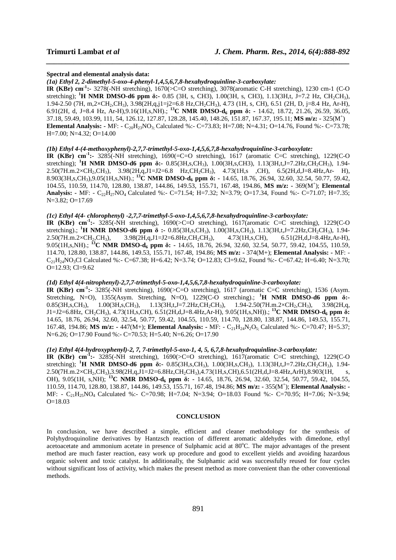#### **Spectral and elemental analysis data:**

*(1a) Ethyl 2, 2-dimethyl-5-oxo-4-phenyl-1,4,5,6,7,8-hexahydroquinline-3-carboxylate:* 

**IR (KBr) cm-1:-** 3278(-NH stretching), 1670(>C=O stretching), 3078(aromatic C-H stretching), 1230 cm-1 (C-O stretching); **<sup>1</sup>H NMR DMSO-d6 ppm δ:-** 0.85 (3H, s, CH3), 1.00(3H, s, CH3), 1.13(3H,t, J=7.2 Hz, CH2CH3), 1.94-2.50 (7H, m,2×CH2,CH3), 3.98(2H,q,j1=j2=6.8 Hz,CH2CH3), 4.73 (1H, s, CH), 6.51 (2H, D, j=8.4 Hz, Ar-H), 6.91(2H, d, J=8.4 Hz, Ar-H),9.16(1H,s,NH).; **<sup>13</sup>C NMR DMSO-d6 ppm δ: -** 14.62, 18.72, 21.26, 26.59, 36.05, 37.18, 59.49, 103.99, 111, 54, 126.12, 127.87, 128.28, 145.40, 148.26, 151.87, 167.37, 195.11; **MS m/z: -** 325(M<sup>+</sup> ) **Elemental Analysis: -** MF:  $-C_{20}H_{23}NO_3$ . Calculated %:  $-C=73.83$ ; H=7.08; N=4.31; O=14.76, Found %:  $-C=73.78$ ; H=7.00; N=4.32; O=14.00

*\_\_\_\_\_\_\_\_\_\_\_\_\_\_\_\_\_\_\_\_\_\_\_\_\_\_\_\_\_\_\_\_\_\_\_\_\_\_\_\_\_\_\_\_\_\_\_\_\_\_\_\_\_\_\_\_\_\_\_\_\_\_\_\_\_\_\_\_\_\_\_\_\_\_\_\_\_\_*

### *(1b) Ethyl 4-(4-methoxyphenyl)-2,7,7-trimethyl-5-oxo-1,4,5,6,7,8-hexahydroquinline-3-carboxylate:*

**IR (KBr) cm-1:-** 3285(-NH stretching), 1690(=C=O stretching), 1617 (aromatic C=C stretching), 1229(C-O stretching); <sup>1</sup>**H NMR DMSO-d6 ppm δ:-** 0.85(3H,s,CH<sub>3</sub>), 1.00(3H,s,CH3), 1.13(3H,t,J=7.2Hz,CH<sub>2</sub>CH<sub>3</sub>), 1.94- $2.50(7H.m.2 \times CH_2, CH_3)$ ,  $3.98(2H,q, J=J2=6.8$   $Hz, CH_2CH_3)$ ,  $4.73(1H,s$   $CH)$ ,  $6.5(2H,d,J=8.4Hz, Ar- H)$ , 8.903(3H,s,CH3),9.05(1H,s,NH).; **<sup>13</sup>C NMR DMSO-d6 ppm δ: -** 14.65, 18.76, 26.94, 32.60, 32.54, 50.77, 59.42, 104.55, 110.59, 114.70, 128.80, 138.87, 144.86, 149.53, 155.71, 167.48, 194.86, **MS m/z: -** 369(M<sup>+</sup> ); **Elemental Analysis:** - MF: - C<sub>22</sub>H<sub>27</sub>NO<sub>4</sub> Calculated %:- C=71.54; H=7.32; N=3.79; O=17.34, Found %:- C=71.07; H=7.35; N=3.82; O=17.69

# *(1c) Ethyl 4(4- chlorophenyl) -2,7,7-trimethyl-5-oxo-1,4,5,6,7,8-hexahydroquinline-3-carboxylate:*

**IR (KBr) cm-1:-** 3285(-NH stretching), 1690(>C=O stretching), 1617(aromatic C=C stretching), 1229(C-O stretching).; **<sup>1</sup>H NMR DMSO-d6 ppm**  $\delta$  **:-** 0.85(3H,s,CH<sub>3</sub>), 1.00(3H,s,CH<sub>3</sub>), 1.13(3H,t,J=7.2Hz,CH<sub>2</sub>CH<sub>3</sub>), 1.94-<br>2.50(7H.m.2×CH<sub>2</sub>,CH<sub>3</sub>), 3.98(2H,q,J1=J2=6.8Hz,CH<sub>2</sub>CH<sub>3</sub>), 4.73(1H,s,CH), 6.51(2H,d,J=8.4Hz,Ar-H),  $3.98(2H,q,J1=J2=6.8Hz,CH_2CH_3),$   $4.73(1H,s,CH),$ 9.05(1H,s,NH).; **<sup>13</sup>C NMR DMSO-d6 ppm δ: -** 14.65, 18.76, 26.94, 32.60, 32.54, 50.77, 59.42, 104.55, 110.59, 114.70, 128.80, 138.87, 144.86, 149.53, 155.71, 167.48, 194.86; **MS m/z: -** 374(M+); **Elemental Analysis: -** MF: -  $C_{21}H_{24}NO_3Cl$  Calculated %:- C=67.38; H=6.42; N=3.74; O=12.83; Cl=9.62, Found %:- C=67.42; H=6.40; N=3.70; O=12.93; Cl=9.62

# *(1d) Ethyl 4(4-nitrophenyl)-2,7,7-trimethyl-5-oxo-1,4,5,6,7,8-hexahydroquinline-3-carboxylate:*

**IR (KBr) cm-1:-** 3285(-NH stretching), 1690(>C=O stretching), 1617 (aromatic C=C stretching), 1536 (Asym. Stretching, N=O), 1355(Asym. Stretching, N=O), 1229(C-O stretching).; **<sup>1</sup>H NMR DMSO-d6 ppm δ:-**   $0.85(3H,s,CH_3)$ ,  $1.00(3H,s,CH_3)$ ,  $1.13(3H,t,J=7.2Hz,CH_2CH_3)$ ,  $1.94-2.50(7H,m.2\times CH_2,CH_3)$ ,  $3.98(2H,q,$ J1=J2=6.8Hz, CH2CH3), 4.73(1H,s,CH), 6.51(2H,d,J=8.4Hz,Ar-H), 9.05(1H,s,NH)).; **<sup>13</sup>C NMR DMSO-d6 ppm δ:**  14.65, 18.76, 26.94, 32.60, 32.54, 50.77, 59.42, 104.55, 110.59, 114.70, 128.80, 138.87, 144.86, 149.53, 155.71, 167.48, 194.86; **MS m/z: -** 447(M+); **Elemental Analysis: -** MF: - C21H24N2O5; Calculated %:- C=70.47; H=5.37; N=6.26; O=17.90 Found %:- C=70.53; H=5.40; N=6.26; O=17.90

# *(1e) Ethyl 4(4-hydroxyphenyl)-2, 7, 7-trimethyl-5-oxo-1, 4, 5, 6,7,8-hexahydroquinline-3-carboxylate:*

**IR (KBr) cm-1:-** 3285(-NH stretching), 1690(>C=O stretching), 1617(aromatic C=C stretching), 1229(C-O stretching); <sup>1</sup>**H NMR DMSO-d6 ppm**  $\delta$ **:** - 0.85(3H,s,CH<sub>3</sub>), 1.00(3H,s,CH<sub>3</sub>), 1.13(3H,t,J=7.2Hz,CH<sub>2</sub>CH<sub>3</sub>), 1.94- $2.50(7H \ldots 2 \times CH_2, CH_3)$ ,  $3.98(2H,q, J=J2=6.8Hz, CH_2CH_3)$ ,  $4.73(1H,s, CH)$ ,  $6.51(2H,d,J=8.4Hz, ArH)$ ,  $8.903(1H, s)$ OH), 9.05(1H, s,NH); **<sup>13</sup>C NMR DMSO-d6 ppm δ: -** 14.65, 18.76, 26.94, 32.60, 32.54, 50.77, 59.42, 104.55, 110.59, 114.70, 128.80, 138.87, 144.86, 149.53, 155.71, 167.48, 194.86; **MS m/z: -** 355(M<sup>+</sup> ); **Elemental Analysis: -** MF: - C<sub>21</sub>H<sub>25</sub>NO<sub>4</sub> Calculated %:- C=70.98; H=7.04; N=3.94; O=18.03 Found %:- C=70.95; H=7.06; N=3.94; O=18.03

#### **CONCLUSION**

In conclusion, we have described a simple, efficient and cleaner methodology for the synthesis of Polyhydroquinoline derivatives by Hantzsch reaction of different aromatic aldehydes with dimedone, ethyl acetoacetate and ammonium acetate in presence of Sulphamic acid at 80<sup>o</sup>C. The major advantages of the present method are much faster reaction, easy work up procedure and good to excellent yields and avoiding hazardous organic solvent and toxic catalyst. In additionally, the Sulphamic acid was successfully reused for four cycles without significant loss of activity, which makes the present method as more convenient than the other conventional methods.